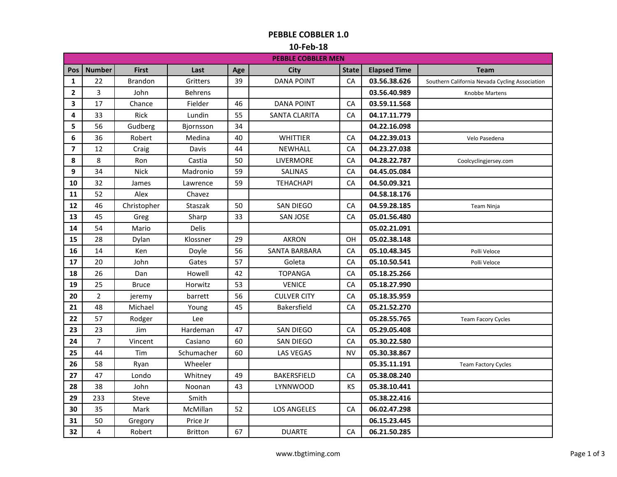### **PEBBLE COBBLER 1.0**

#### **10-Feb-18**

|                | <b>PEBBLE COBBLER MEN</b> |                |                |     |                      |              |                     |                                                |  |
|----------------|---------------------------|----------------|----------------|-----|----------------------|--------------|---------------------|------------------------------------------------|--|
| Pos            | <b>Number</b>             | <b>First</b>   | Last           | Age | City                 | <b>State</b> | <b>Elapsed Time</b> | <b>Team</b>                                    |  |
| 1              | 22                        | <b>Brandon</b> | Gritters       | 39  | <b>DANA POINT</b>    | <b>CA</b>    | 03.56.38.626        | Southern California Nevada Cycling Association |  |
| $\overline{2}$ | 3                         | John           | <b>Behrens</b> |     |                      |              | 03.56.40.989        | Knobbe Martens                                 |  |
| 3              | 17                        | Chance         | Fielder        | 46  | <b>DANA POINT</b>    | CA           | 03.59.11.568        |                                                |  |
| 4              | 33                        | <b>Rick</b>    | Lundin         | 55  | <b>SANTA CLARITA</b> | CA           | 04.17.11.779        |                                                |  |
| 5              | 56                        | Gudberg        | Bjornsson      | 34  |                      |              | 04.22.16.098        |                                                |  |
| 6              | 36                        | Robert         | Medina         | 40  | <b>WHITTIER</b>      | CA           | 04.22.39.013        | Velo Pasedena                                  |  |
| $\overline{ }$ | 12                        | Craig          | Davis          | 44  | <b>NEWHALL</b>       | CA           | 04.23.27.038        |                                                |  |
| 8              | 8                         | Ron            | Castia         | 50  | LIVERMORE            | CA           | 04.28.22.787        | Coolcyclingjersey.com                          |  |
| 9              | 34                        | <b>Nick</b>    | Madronio       | 59  | <b>SALINAS</b>       | CA           | 04.45.05.084        |                                                |  |
| 10             | 32                        | James          | Lawrence       | 59  | <b>TEHACHAPI</b>     | CA           | 04.50.09.321        |                                                |  |
| 11             | 52                        | Alex           | Chavez         |     |                      |              | 04.58.18.176        |                                                |  |
| 12             | 46                        | Christopher    | Staszak        | 50  | SAN DIEGO            | CA           | 04.59.28.185        | Team Ninja                                     |  |
| 13             | 45                        | Greg           | Sharp          | 33  | <b>SAN JOSE</b>      | CA           | 05.01.56.480        |                                                |  |
| 14             | 54                        | Mario          | Delis          |     |                      |              | 05.02.21.091        |                                                |  |
| 15             | 28                        | Dylan          | Klossner       | 29  | <b>AKRON</b>         | OH           | 05.02.38.148        |                                                |  |
| 16             | 14                        | Ken            | Doyle          | 56  | <b>SANTA BARBARA</b> | CA           | 05.10.48.345        | Polli Veloce                                   |  |
| 17             | 20                        | John           | Gates          | 57  | Goleta               | CA           | 05.10.50.541        | Polli Veloce                                   |  |
| 18             | 26                        | Dan            | Howell         | 42  | <b>TOPANGA</b>       | CA           | 05.18.25.266        |                                                |  |
| 19             | 25                        | <b>Bruce</b>   | Horwitz        | 53  | <b>VENICE</b>        | CA           | 05.18.27.990        |                                                |  |
| 20             | $\overline{2}$            | jeremy         | barrett        | 56  | <b>CULVER CITY</b>   | CA           | 05.18.35.959        |                                                |  |
| 21             | 48                        | Michael        | Young          | 45  | Bakersfield          | CA           | 05.21.52.270        |                                                |  |
| 22             | 57                        | Rodger         | Lee            |     |                      |              | 05.28.55.765        | <b>Team Facory Cycles</b>                      |  |
| 23             | 23                        | Jim            | Hardeman       | 47  | SAN DIEGO            | CA           | 05.29.05.408        |                                                |  |
| 24             | $\overline{7}$            | Vincent        | Casiano        | 60  | SAN DIEGO            | CA           | 05.30.22.580        |                                                |  |
| 25             | 44                        | Tim            | Schumacher     | 60  | LAS VEGAS            | <b>NV</b>    | 05.30.38.867        |                                                |  |
| 26             | 58                        | Ryan           | Wheeler        |     |                      |              | 05.35.11.191        | <b>Team Factory Cycles</b>                     |  |
| 27             | 47                        | Londo          | Whitney        | 49  | BAKERSFIELD          | CA           | 05.38.08.240        |                                                |  |
| 28             | 38                        | John           | Noonan         | 43  | LYNNWOOD             | KS           | 05.38.10.441        |                                                |  |
| 29             | 233                       | Steve          | Smith          |     |                      |              | 05.38.22.416        |                                                |  |
| 30             | 35                        | Mark           | McMillan       | 52  | <b>LOS ANGELES</b>   | CA           | 06.02.47.298        |                                                |  |
| 31             | 50                        | Gregory        | Price Jr       |     |                      |              | 06.15.23.445        |                                                |  |
| 32             | 4                         | Robert         | Britton        | 67  | <b>DUARTE</b>        | CA           | 06.21.50.285        |                                                |  |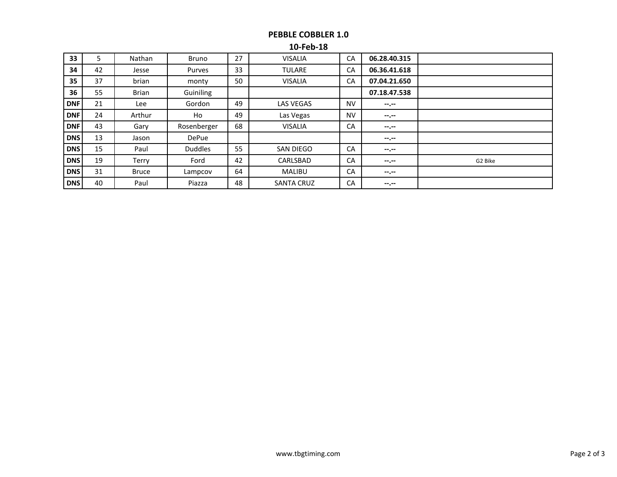# **PEBBLE COBBLER 1.0**

### **10-Feb-18**

| 33         | 5  | Nathan       | <b>Bruno</b>   | 27 | <b>VISALIA</b>    | CA        | 06.28.40.315 |         |
|------------|----|--------------|----------------|----|-------------------|-----------|--------------|---------|
| 34         | 42 | Jesse        | Purves         | 33 | <b>TULARE</b>     | CA        | 06.36.41.618 |         |
| 35         | 37 | brian        | monty          | 50 | <b>VISALIA</b>    | CA        | 07.04.21.650 |         |
| 36         | 55 | <b>Brian</b> | Guiniling      |    |                   |           | 07.18.47.538 |         |
| <b>DNF</b> | 21 | Lee          | Gordon         | 49 | <b>LAS VEGAS</b>  | <b>NV</b> | $-2 - 1$     |         |
| <b>DNF</b> | 24 | Arthur       | Ho             | 49 | Las Vegas         | <b>NV</b> | $-1$ , $-1$  |         |
| <b>DNF</b> | 43 | Gary         | Rosenberger    | 68 | <b>VISALIA</b>    | CA        | $-1$ , $-1$  |         |
| <b>DNS</b> | 13 | Jason        | DePue          |    |                   |           | $-1$         |         |
| <b>DNS</b> | 15 | Paul         | <b>Duddles</b> | 55 | <b>SAN DIEGO</b>  | CA        | $-1$         |         |
| <b>DNS</b> | 19 | Terry        | Ford           | 42 | CARLSBAD          | CA        | $-1$ , $-1$  | G2 Bike |
| <b>DNS</b> | 31 | <b>Bruce</b> | Lampcov        | 64 | <b>MALIBU</b>     | CA        | $-1. - -$    |         |
| <b>DNS</b> | 40 | Paul         | Piazza         | 48 | <b>SANTA CRUZ</b> | CA        | --.--        |         |